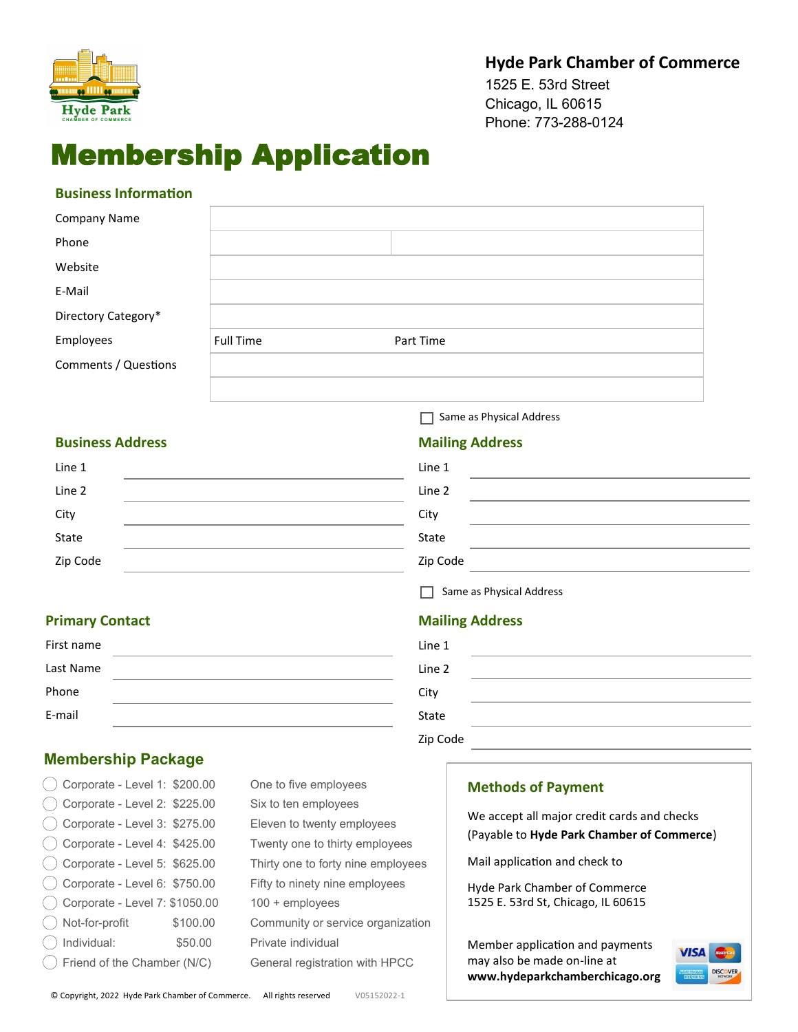

## **Hyde Park Chamber of Commerce**

1525 E. 53rd Street Chicago, IL 60615 Phone: 773-288-0124

# Membership Application

#### **Business Information**

| Company Name         |                  |           |
|----------------------|------------------|-----------|
| Phone                |                  |           |
| Website              |                  |           |
| E-Mail               |                  |           |
| Directory Category*  |                  |           |
| Employees            | <b>Full Time</b> | Part Time |
| Comments / Questions |                  |           |
|                      |                  |           |

#### **Business Address**

| Line 1   |  |
|----------|--|
| Line 2   |  |
| City     |  |
| State    |  |
| Zip Code |  |

Same as Physical Address

#### **Mailing Address**

| Line 1   |  |
|----------|--|
| Line 2   |  |
| City     |  |
| State    |  |
| Zip Code |  |

 $\Box$  Same as Physical Address

## **Mailing Address**

| Line 1   |  |
|----------|--|
| Line 2   |  |
| City     |  |
| State    |  |
| Zip Code |  |

## **Primary Contact**

| First name |  |
|------------|--|
| Last Name  |  |
| Phone      |  |
| E-mail     |  |

## **Membership Package**

| $\dot{\phantom{1}}$ Corporate - Level 1: \$200.00 |          | One to five employees              |
|---------------------------------------------------|----------|------------------------------------|
| () Corporate - Level 2: \$225.00                  |          | Six to ten employees               |
| $( )$ Corporate - Level 3: \$275.00               |          | Eleven to twenty employees         |
| $( )$ Corporate - Level 4: \$425.00               |          | Twenty one to thirty employees     |
| $($ ) Corporate - Level 5: \$625.00               |          | Thirty one to forty nine employees |
| () Corporate - Level 6: \$750.00                  |          | Fifty to ninety nine employees     |
| () Corporate - Level 7: \$1050.00                 |          | 100 + employees                    |
| () Not-for-profit                                 | \$100.00 | Community or service organization  |
| Individual:                                       | \$50.00  | Private individual                 |
| Friend of the Chamber (N/C)                       |          | General registration with HPCC     |
|                                                   |          |                                    |

| One to five employees              |
|------------------------------------|
| Six to ten employees               |
| Eleven to twenty employees         |
| Twenty one to thirty employees     |
| Thirty one to forty nine employees |
| Fifty to ninety nine employees     |
| $100 +$ employees                  |
| Community or service organization  |
| Private individual                 |
| General registration with HPCC     |
|                                    |

#### **Methods of Payment**

We accept all major credit cards and checks (Payable to **Hyde Park Chamber of Commerce**)

Mail application and check to

Hyde Park Chamber of Commerce 1525 E. 53rd St, Chicago, IL 60615

Member application and payments may also be made on-line at **www.hydeparkchamberchicago.org**